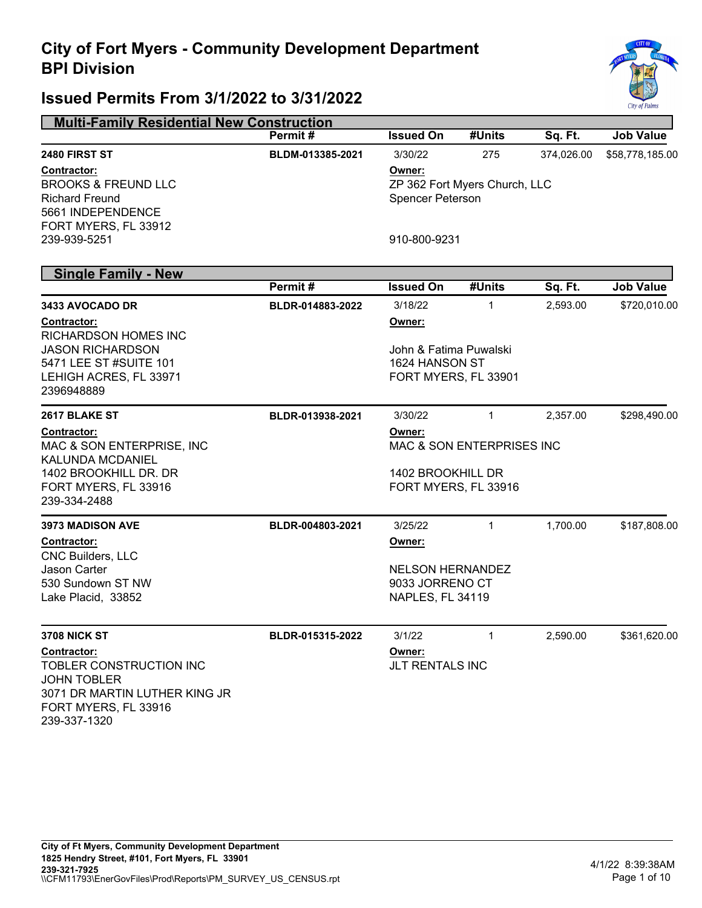

| <b>Multi-Family Residential New Construction</b>                                                                                                                    |                  |                                                                                                    |                                |          |                  |
|---------------------------------------------------------------------------------------------------------------------------------------------------------------------|------------------|----------------------------------------------------------------------------------------------------|--------------------------------|----------|------------------|
|                                                                                                                                                                     | Permit#          | <b>Issued On</b>                                                                                   | #Units                         | Sq. Ft.  | <b>Job Value</b> |
| 2480 FIRST ST<br>Contractor:<br><b>BROOKS &amp; FREUND LLC</b><br><b>Richard Freund</b><br>5661 INDEPENDENCE                                                        | BLDM-013385-2021 | 3/30/22<br>275<br>374,026.00<br>Owner:<br>ZP 362 Fort Myers Church, LLC<br><b>Spencer Peterson</b> |                                |          | \$58,778,185.00  |
| FORT MYERS, FL 33912<br>239-939-5251                                                                                                                                |                  | 910-800-9231                                                                                       |                                |          |                  |
| <b>Single Family - New</b>                                                                                                                                          |                  |                                                                                                    |                                |          |                  |
|                                                                                                                                                                     | Permit#          | <b>Issued On</b>                                                                                   | #Units                         | Sq. Ft.  | <b>Job Value</b> |
| 3433 AVOCADO DR<br>Contractor:<br><b>RICHARDSON HOMES INC</b>                                                                                                       | BLDR-014883-2022 | 3/18/22<br>Owner:                                                                                  | 1                              | 2,593.00 | \$720,010.00     |
| <b>JASON RICHARDSON</b><br>5471 LEE ST #SUITE 101<br>LEHIGH ACRES, FL 33971<br>2396948889                                                                           |                  | John & Fatima Puwalski<br>1624 HANSON ST<br>FORT MYERS, FL 33901                                   |                                |          |                  |
| 2617 BLAKE ST<br>Contractor:<br>MAC & SON ENTERPRISE, INC.<br><b>KALUNDA MCDANIEL</b><br>1402 BROOKHILL DR. DR<br>FORT MYERS, FL 33916<br>239-334-2488              | BLDR-013938-2021 | 3/30/22<br>Owner:<br>1402 BROOKHILL DR<br>FORT MYERS, FL 33916                                     | 1<br>MAC & SON ENTERPRISES INC | 2,357.00 | \$298,490.00     |
| <b>3973 MADISON AVE</b><br>Contractor:<br><b>CNC Builders, LLC</b>                                                                                                  | BLDR-004803-2021 | 3/25/22<br>Owner:                                                                                  | 1                              | 1,700.00 | \$187,808.00     |
| <b>Jason Carter</b><br>530 Sundown ST NW<br>Lake Placid, 33852                                                                                                      |                  | <b>NELSON HERNANDEZ</b><br>9033 JORRENO CT<br>NAPLES, FL 34119                                     |                                |          |                  |
| <b>3708 NICK ST</b><br><b>Contractor:</b><br>TOBLER CONSTRUCTION INC<br><b>JOHN TOBLER</b><br>3071 DR MARTIN LUTHER KING JR<br>FORT MYERS, FL 33916<br>239-337-1320 | BLDR-015315-2022 | 3/1/22<br>Owner:<br>JLT RENTALS INC                                                                | 1                              | 2,590.00 | \$361,620.00     |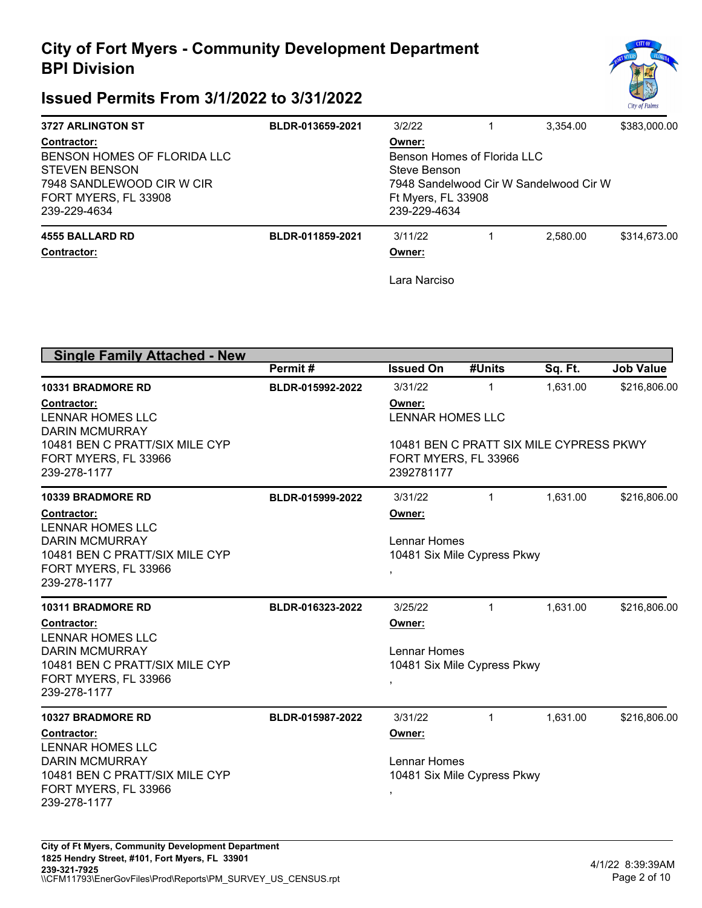

| <b>3727 ARLINGTON ST</b>                                                                                                                       | BLDR-013659-2021                                                                                                                      | 3/2/22                            |  | 3.354.00 | \$383,000.00 |  |
|------------------------------------------------------------------------------------------------------------------------------------------------|---------------------------------------------------------------------------------------------------------------------------------------|-----------------------------------|--|----------|--------------|--|
| <b>Contractor:</b><br>BENSON HOMES OF FLORIDA LLC<br><b>STEVEN BENSON</b><br>7948 SANDLEWOOD CIR W CIR<br>FORT MYERS, FL 33908<br>239-229-4634 | Owner:<br>Benson Homes of Florida LLC<br>Steve Benson<br>7948 Sandelwood Cir W Sandelwood Cir W<br>Ft Myers, FL 33908<br>239-229-4634 |                                   |  |          |              |  |
| <b>4555 BALLARD RD</b><br><b>Contractor:</b>                                                                                                   | BLDR-011859-2021                                                                                                                      | 3/11/22<br>Owner:<br>Lara Narciso |  | 2.580.00 | \$314,673,00 |  |

| <b>Single Family Attached - New</b>                                    |                  |                                                                               |                             |          |                  |  |
|------------------------------------------------------------------------|------------------|-------------------------------------------------------------------------------|-----------------------------|----------|------------------|--|
|                                                                        | Permit#          | <b>Issued On</b>                                                              | #Units                      | Sq. Ft.  | <b>Job Value</b> |  |
| <b>10331 BRADMORE RD</b>                                               | BLDR-015992-2022 | 3/31/22                                                                       | 1                           | 1,631.00 | \$216,806.00     |  |
| <b>Contractor:</b><br><b>LENNAR HOMES LLC</b><br><b>DARIN MCMURRAY</b> |                  | Owner:<br><b>LENNAR HOMES LLC</b>                                             |                             |          |                  |  |
| 10481 BEN C PRATT/SIX MILE CYP<br>FORT MYERS, FL 33966<br>239-278-1177 |                  | 10481 BEN C PRATT SIX MILE CYPRESS PKWY<br>FORT MYERS, FL 33966<br>2392781177 |                             |          |                  |  |
| <b>10339 BRADMORE RD</b>                                               | BLDR-015999-2022 | 3/31/22                                                                       | $\mathbf{1}$                | 1,631.00 | \$216,806.00     |  |
| Contractor:<br>LENNAR HOMES LLC                                        |                  | Owner:                                                                        |                             |          |                  |  |
| <b>DARIN MCMURRAY</b>                                                  |                  | Lennar Homes                                                                  |                             |          |                  |  |
| 10481 BEN C PRATT/SIX MILE CYP<br>FORT MYERS, FL 33966                 |                  |                                                                               | 10481 Six Mile Cypress Pkwy |          |                  |  |
| 239-278-1177                                                           |                  | ,                                                                             |                             |          |                  |  |
| <b>10311 BRADMORE RD</b>                                               | BLDR-016323-2022 | 3/25/22                                                                       | 1                           | 1,631.00 | \$216,806.00     |  |
| Contractor:<br><b>LENNAR HOMES LLC</b>                                 |                  | Owner:                                                                        |                             |          |                  |  |
| <b>DARIN MCMURRAY</b>                                                  |                  | Lennar Homes                                                                  |                             |          |                  |  |
| 10481 BEN C PRATT/SIX MILE CYP                                         |                  |                                                                               | 10481 Six Mile Cypress Pkwy |          |                  |  |
| FORT MYERS, FL 33966<br>239-278-1177                                   |                  | ,                                                                             |                             |          |                  |  |
| <b>10327 BRADMORE RD</b>                                               | BLDR-015987-2022 | 3/31/22                                                                       | $\mathbf 1$                 | 1,631.00 | \$216,806.00     |  |
| Contractor:                                                            |                  | Owner:                                                                        |                             |          |                  |  |
| <b>LENNAR HOMES LLC</b>                                                |                  |                                                                               |                             |          |                  |  |
| <b>DARIN MCMURRAY</b><br>10481 BEN C PRATT/SIX MILE CYP                |                  | Lennar Homes                                                                  |                             |          |                  |  |
| FORT MYERS, FL 33966                                                   |                  |                                                                               | 10481 Six Mile Cypress Pkwy |          |                  |  |
| 239-278-1177                                                           |                  |                                                                               |                             |          |                  |  |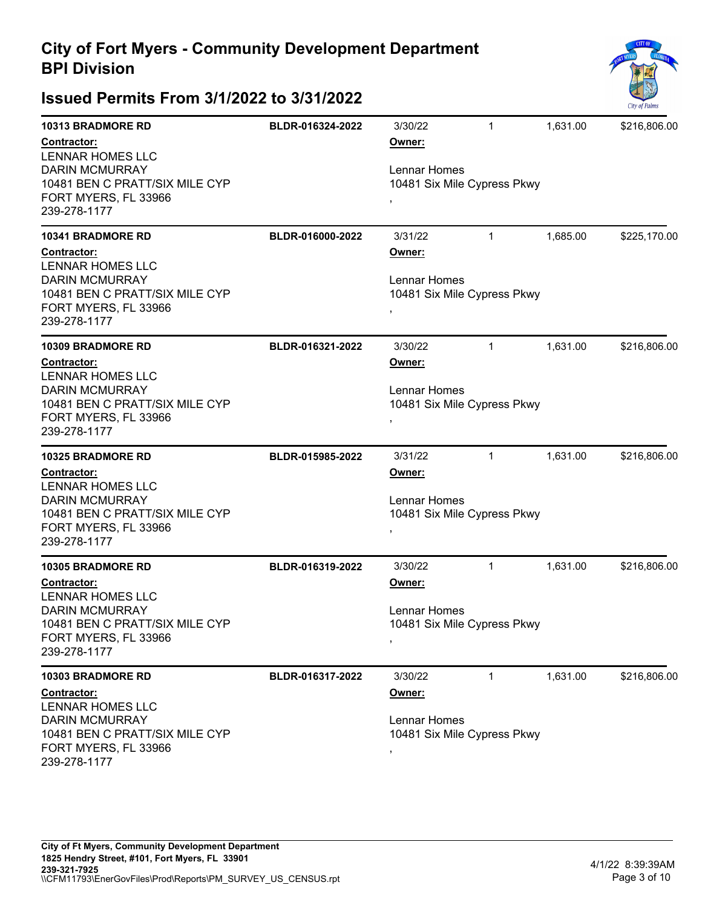

| <b>10313 BRADMORE RD</b>                                                                                                                  | BLDR-016324-2022 | 3/30/22                                                           | 1            | 1,631.00 | \$216,806.00 |  |  |
|-------------------------------------------------------------------------------------------------------------------------------------------|------------------|-------------------------------------------------------------------|--------------|----------|--------------|--|--|
| Contractor:<br><b>LENNAR HOMES LLC</b><br><b>DARIN MCMURRAY</b><br>10481 BEN C PRATT/SIX MILE CYP<br>FORT MYERS, FL 33966<br>239-278-1177 |                  | Owner:<br>Lennar Homes<br>10481 Six Mile Cypress Pkwy<br>,        |              |          |              |  |  |
| <b>10341 BRADMORE RD</b>                                                                                                                  | BLDR-016000-2022 | 3/31/22                                                           | $\mathbf 1$  | 1,685.00 | \$225,170.00 |  |  |
| Contractor:<br><b>LENNAR HOMES LLC</b><br><b>DARIN MCMURRAY</b><br>10481 BEN C PRATT/SIX MILE CYP<br>FORT MYERS, FL 33966<br>239-278-1177 |                  | Owner:<br>Lennar Homes<br>10481 Six Mile Cypress Pkwy<br>,        |              |          |              |  |  |
| <b>10309 BRADMORE RD</b>                                                                                                                  | BLDR-016321-2022 | 3/30/22                                                           | $\mathbf 1$  | 1,631.00 | \$216,806.00 |  |  |
| Contractor:<br><b>LENNAR HOMES LLC</b><br><b>DARIN MCMURRAY</b><br>10481 BEN C PRATT/SIX MILE CYP<br>FORT MYERS, FL 33966<br>239-278-1177 |                  | Owner:<br>Lennar Homes<br>10481 Six Mile Cypress Pkwy<br>y.       |              |          |              |  |  |
| <b>10325 BRADMORE RD</b>                                                                                                                  | BLDR-015985-2022 | 3/31/22                                                           | 1            | 1,631.00 | \$216,806.00 |  |  |
| Contractor:<br><b>LENNAR HOMES LLC</b><br><b>DARIN MCMURRAY</b><br>10481 BEN C PRATT/SIX MILE CYP<br>FORT MYERS, FL 33966<br>239-278-1177 |                  | Owner:<br>Lennar Homes<br>10481 Six Mile Cypress Pkwy<br>y.       |              |          |              |  |  |
| <b>10305 BRADMORE RD</b>                                                                                                                  | BLDR-016319-2022 | 3/30/22                                                           | $\mathbf 1$  | 1,631.00 | \$216,806.00 |  |  |
| Contractor:<br><b>LENNAR HOMES LLC</b><br><b>DARIN MCMURRAY</b><br>10481 BEN C PRATT/SIX MILE CYP<br>FORT MYERS, FL 33966<br>239-278-1177 |                  | Owner:<br><b>Lennar Homes</b><br>10481 Six Mile Cypress Pkwy<br>, |              |          |              |  |  |
| <b>10303 BRADMORE RD</b>                                                                                                                  | BLDR-016317-2022 | 3/30/22                                                           | $\mathbf{1}$ | 1,631.00 | \$216,806.00 |  |  |
| Contractor:<br><b>LENNAR HOMES LLC</b><br><b>DARIN MCMURRAY</b><br>10481 BEN C PRATT/SIX MILE CYP<br>FORT MYERS, FL 33966<br>239-278-1177 |                  | Owner:<br>Lennar Homes<br>10481 Six Mile Cypress Pkwy<br>,        |              |          |              |  |  |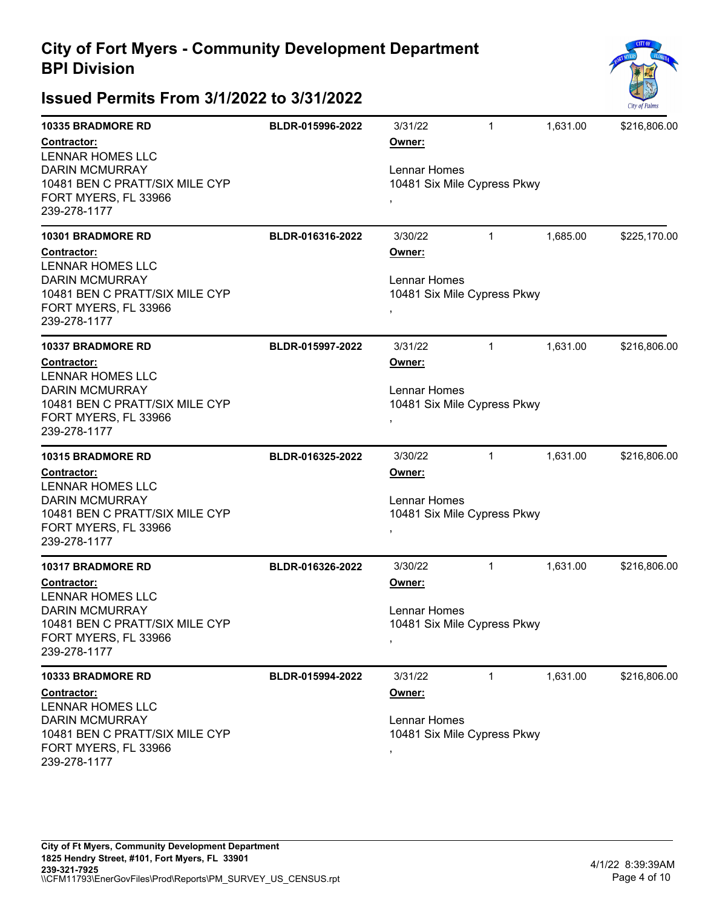

| <b>10335 BRADMORE RD</b>                                                                                                                  | BLDR-015996-2022 | 3/31/22                                                           | 1            | 1,631.00 | \$216,806.00 |  |  |
|-------------------------------------------------------------------------------------------------------------------------------------------|------------------|-------------------------------------------------------------------|--------------|----------|--------------|--|--|
| Contractor:<br><b>LENNAR HOMES LLC</b><br><b>DARIN MCMURRAY</b><br>10481 BEN C PRATT/SIX MILE CYP<br>FORT MYERS, FL 33966<br>239-278-1177 |                  | Owner:<br>Lennar Homes<br>10481 Six Mile Cypress Pkwy<br>,        |              |          |              |  |  |
| <b>10301 BRADMORE RD</b>                                                                                                                  | BLDR-016316-2022 | 3/30/22                                                           | $\mathbf 1$  | 1,685.00 | \$225,170.00 |  |  |
| Contractor:<br><b>LENNAR HOMES LLC</b><br><b>DARIN MCMURRAY</b><br>10481 BEN C PRATT/SIX MILE CYP<br>FORT MYERS, FL 33966<br>239-278-1177 |                  | Owner:<br>Lennar Homes<br>10481 Six Mile Cypress Pkwy<br>,        |              |          |              |  |  |
| <b>10337 BRADMORE RD</b>                                                                                                                  | BLDR-015997-2022 | 3/31/22                                                           | $\mathbf 1$  | 1,631.00 | \$216,806.00 |  |  |
| Contractor:<br><b>LENNAR HOMES LLC</b><br><b>DARIN MCMURRAY</b><br>10481 BEN C PRATT/SIX MILE CYP<br>FORT MYERS, FL 33966<br>239-278-1177 |                  | Owner:<br>Lennar Homes<br>10481 Six Mile Cypress Pkwy<br>y.       |              |          |              |  |  |
| <b>10315 BRADMORE RD</b>                                                                                                                  | BLDR-016325-2022 | 3/30/22                                                           | 1            | 1,631.00 | \$216,806.00 |  |  |
| Contractor:<br><b>LENNAR HOMES LLC</b><br><b>DARIN MCMURRAY</b><br>10481 BEN C PRATT/SIX MILE CYP<br>FORT MYERS, FL 33966<br>239-278-1177 |                  | Owner:<br>Lennar Homes<br>10481 Six Mile Cypress Pkwy<br>y.       |              |          |              |  |  |
| <b>10317 BRADMORE RD</b>                                                                                                                  | BLDR-016326-2022 | 3/30/22                                                           | $\mathbf 1$  | 1,631.00 | \$216,806.00 |  |  |
| Contractor:<br><b>LENNAR HOMES LLC</b><br><b>DARIN MCMURRAY</b><br>10481 BEN C PRATT/SIX MILE CYP<br>FORT MYERS, FL 33966<br>239-278-1177 |                  | Owner:<br><b>Lennar Homes</b><br>10481 Six Mile Cypress Pkwy<br>, |              |          |              |  |  |
| <b>10333 BRADMORE RD</b>                                                                                                                  | BLDR-015994-2022 | 3/31/22                                                           | $\mathbf{1}$ | 1,631.00 | \$216,806.00 |  |  |
| Contractor:<br><b>LENNAR HOMES LLC</b><br><b>DARIN MCMURRAY</b><br>10481 BEN C PRATT/SIX MILE CYP<br>FORT MYERS, FL 33966<br>239-278-1177 |                  | Owner:<br>Lennar Homes<br>10481 Six Mile Cypress Pkwy<br>,        |              |          |              |  |  |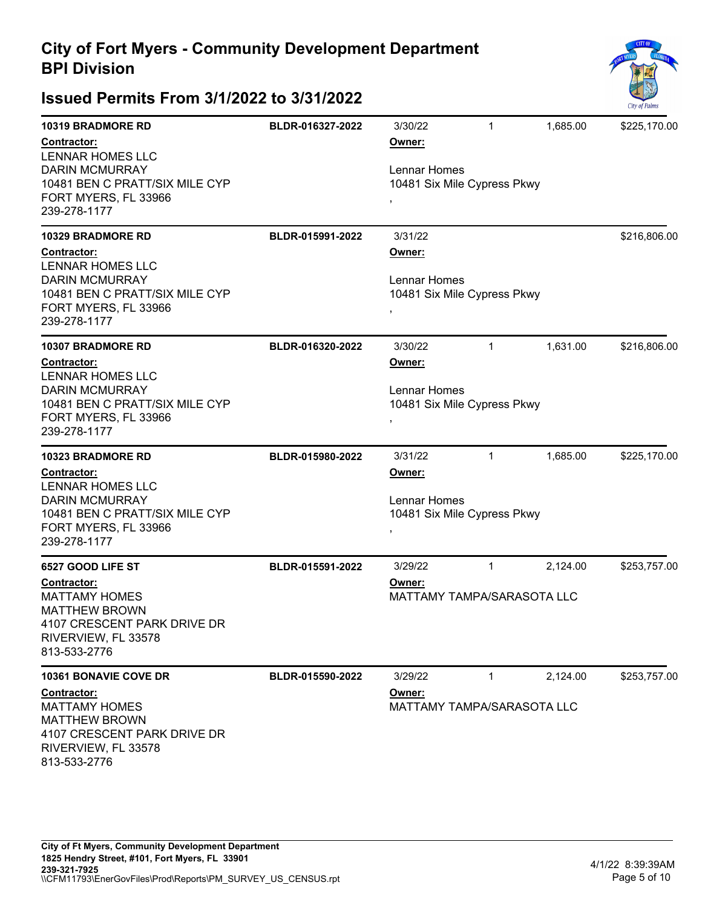

| <b>10319 BRADMORE RD</b><br>Contractor:<br><b>LENNAR HOMES LLC</b><br><b>DARIN MCMURRAY</b><br>10481 BEN C PRATT/SIX MILE CYP<br>FORT MYERS, FL 33966<br>239-278-1177 | BLDR-016327-2022 | 3/30/22<br>Owner:<br>Lennar Homes<br>10481 Six Mile Cypress Pkwy | 1            | 1,685.00 | \$225,170.00 |
|-----------------------------------------------------------------------------------------------------------------------------------------------------------------------|------------------|------------------------------------------------------------------|--------------|----------|--------------|
|                                                                                                                                                                       |                  |                                                                  |              |          |              |
| <b>10329 BRADMORE RD</b><br>Contractor:<br><b>LENNAR HOMES LLC</b><br><b>DARIN MCMURRAY</b><br>10481 BEN C PRATT/SIX MILE CYP<br>FORT MYERS, FL 33966<br>239-278-1177 | BLDR-015991-2022 | 3/31/22<br>Owner:<br>Lennar Homes<br>10481 Six Mile Cypress Pkwy |              |          | \$216,806.00 |
| <b>10307 BRADMORE RD</b>                                                                                                                                              | BLDR-016320-2022 | 3/30/22                                                          | 1            | 1,631.00 | \$216,806.00 |
| Contractor:<br><b>LENNAR HOMES LLC</b><br><b>DARIN MCMURRAY</b><br>10481 BEN C PRATT/SIX MILE CYP<br>FORT MYERS, FL 33966<br>239-278-1177                             |                  | Owner:<br>Lennar Homes<br>10481 Six Mile Cypress Pkwy            |              |          |              |
| <b>10323 BRADMORE RD</b>                                                                                                                                              | BLDR-015980-2022 | 3/31/22                                                          | $\mathbf{1}$ | 1,685.00 | \$225,170.00 |
| Contractor:<br><b>LENNAR HOMES LLC</b><br><b>DARIN MCMURRAY</b><br>10481 BEN C PRATT/SIX MILE CYP<br>FORT MYERS, FL 33966<br>239-278-1177                             |                  | Owner:<br>Lennar Homes<br>10481 Six Mile Cypress Pkwy            |              |          |              |
| 6527 GOOD LIFE ST                                                                                                                                                     | BLDR-015591-2022 | 3/29/22                                                          | 1            | 2,124.00 | \$253,757.00 |
| <b>Contractor:</b><br><b>MATTAMY HOMES</b><br><b>MATTHEW BROWN</b><br>4107 CRESCENT PARK DRIVE DR<br>RIVERVIEW, FL 33578<br>813-533-2776                              |                  | Owner:<br><b>MATTAMY TAMPA/SARASOTA LLC</b>                      |              |          |              |
| 10361 BONAVIE COVE DR<br>Contractor:<br><b>MATTAMY HOMES</b><br><b>MATTHEW BROWN</b><br>4107 CRESCENT PARK DRIVE DR<br>RIVERVIEW, FL 33578<br>813-533-2776            | BLDR-015590-2022 | 3/29/22<br>Owner:<br>MATTAMY TAMPA/SARASOTA LLC                  | $\mathbf{1}$ | 2,124.00 | \$253,757.00 |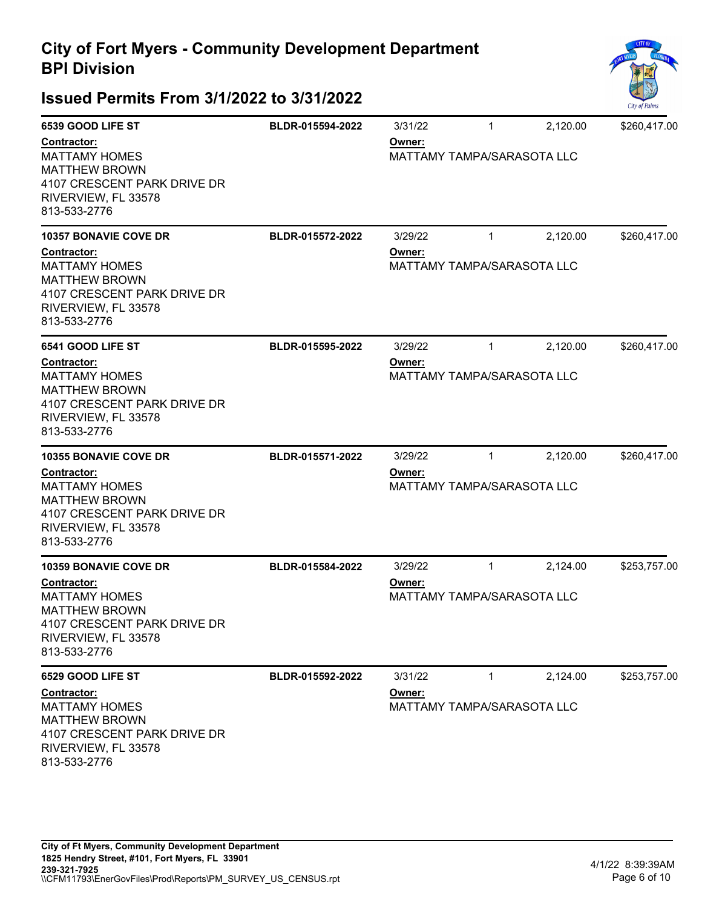

| 6539 GOOD LIFE ST                                                                                                                 | BLDR-015594-2022 | 3/31/22                                     | $\mathbf{1}$ | 2,120.00 | \$260,417.00 |  |
|-----------------------------------------------------------------------------------------------------------------------------------|------------------|---------------------------------------------|--------------|----------|--------------|--|
| Contractor:<br><b>MATTAMY HOMES</b><br><b>MATTHEW BROWN</b><br>4107 CRESCENT PARK DRIVE DR<br>RIVERVIEW, FL 33578<br>813-533-2776 |                  | Owner:<br><b>MATTAMY TAMPA/SARASOTA LLC</b> |              |          |              |  |
| <b>10357 BONAVIE COVE DR</b>                                                                                                      | BLDR-015572-2022 | 3/29/22                                     | $\mathbf{1}$ | 2,120.00 | \$260,417.00 |  |
| Contractor:<br><b>MATTAMY HOMES</b><br><b>MATTHEW BROWN</b><br>4107 CRESCENT PARK DRIVE DR<br>RIVERVIEW, FL 33578<br>813-533-2776 |                  | Owner:<br><b>MATTAMY TAMPA/SARASOTA LLC</b> |              |          |              |  |
| 6541 GOOD LIFE ST                                                                                                                 | BLDR-015595-2022 | 3/29/22                                     | $\mathbf{1}$ | 2,120.00 | \$260,417.00 |  |
| Contractor:<br><b>MATTAMY HOMES</b><br><b>MATTHEW BROWN</b><br>4107 CRESCENT PARK DRIVE DR<br>RIVERVIEW, FL 33578<br>813-533-2776 |                  | Owner:<br><b>MATTAMY TAMPA/SARASOTA LLC</b> |              |          |              |  |
| <b>10355 BONAVIE COVE DR</b>                                                                                                      | BLDR-015571-2022 | 3/29/22                                     | $\mathbf{1}$ | 2,120.00 | \$260,417.00 |  |
| Contractor:<br><b>MATTAMY HOMES</b><br><b>MATTHEW BROWN</b><br>4107 CRESCENT PARK DRIVE DR<br>RIVERVIEW, FL 33578<br>813-533-2776 |                  | Owner:<br><b>MATTAMY TAMPA/SARASOTA LLC</b> |              |          |              |  |
| <b>10359 BONAVIE COVE DR</b>                                                                                                      | BLDR-015584-2022 | 3/29/22                                     | $\mathbf{1}$ | 2,124.00 | \$253,757.00 |  |
| Contractor:<br><b>MATTAMY HOMES</b><br><b>MATTHEW BROWN</b><br>4107 CRESCENT PARK DRIVE DR<br>RIVERVIEW, FL 33578<br>813-533-2776 |                  | Owner:<br><b>MATTAMY TAMPA/SARASOTA LLC</b> |              |          |              |  |
| 6529 GOOD LIFE ST                                                                                                                 | BLDR-015592-2022 | 3/31/22                                     | $\mathbf{1}$ | 2,124.00 | \$253,757.00 |  |
| Contractor:<br><b>MATTAMY HOMES</b><br><b>MATTHEW BROWN</b><br>4107 CRESCENT PARK DRIVE DR<br>RIVERVIEW, FL 33578<br>813-533-2776 |                  | Owner:<br>MATTAMY TAMPA/SARASOTA LLC        |              |          |              |  |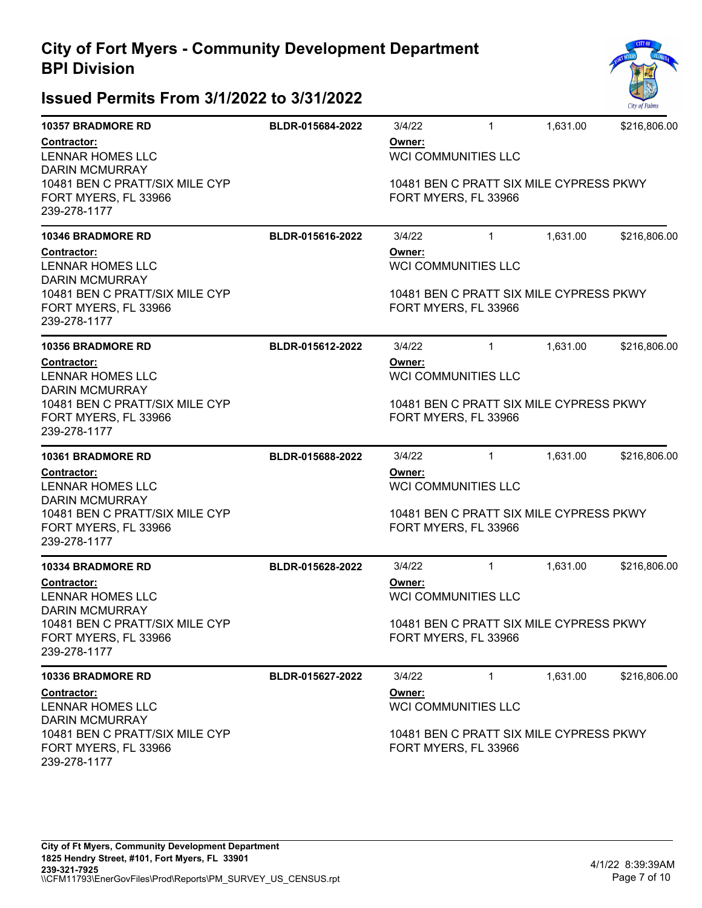

| <b>10357 BRADMORE RD</b>                                               | BLDR-015684-2022 | 3/4/22                                                                                                  | 1                          | 1,631.00 | \$216,806.00                            |  |  |
|------------------------------------------------------------------------|------------------|---------------------------------------------------------------------------------------------------------|----------------------------|----------|-----------------------------------------|--|--|
| Contractor:<br>LENNAR HOMES LLC<br><b>DARIN MCMURRAY</b>               |                  | Owner:<br><b>WCI COMMUNITIES LLC</b>                                                                    |                            |          |                                         |  |  |
| 10481 BEN C PRATT/SIX MILE CYP<br>FORT MYERS, FL 33966<br>239-278-1177 |                  | 10481 BEN C PRATT SIX MILE CYPRESS PKWY<br>FORT MYERS, FL 33966                                         |                            |          |                                         |  |  |
| <b>10346 BRADMORE RD</b>                                               | BLDR-015616-2022 | 3/4/22                                                                                                  | $\mathbf{1}$               | 1,631.00 | \$216,806.00                            |  |  |
| Contractor:<br>LENNAR HOMES LLC<br><b>DARIN MCMURRAY</b>               |                  | Owner:                                                                                                  | WCI COMMUNITIES LLC        |          |                                         |  |  |
| 10481 BEN C PRATT/SIX MILE CYP<br>FORT MYERS, FL 33966<br>239-278-1177 |                  |                                                                                                         | FORT MYERS, FL 33966       |          | 10481 BEN C PRATT SIX MILE CYPRESS PKWY |  |  |
| <b>10356 BRADMORE RD</b>                                               | BLDR-015612-2022 | 3/4/22                                                                                                  | $\mathbf{1}$               | 1,631.00 | \$216,806.00                            |  |  |
| Contractor:<br>LENNAR HOMES LLC<br><b>DARIN MCMURRAY</b>               |                  | Owner:<br><b>WCI COMMUNITIES LLC</b>                                                                    |                            |          |                                         |  |  |
| 10481 BEN C PRATT/SIX MILE CYP<br>FORT MYERS, FL 33966<br>239-278-1177 |                  | 10481 BEN C PRATT SIX MILE CYPRESS PKWY<br>FORT MYERS, FL 33966                                         |                            |          |                                         |  |  |
| <b>10361 BRADMORE RD</b>                                               | BLDR-015688-2022 | 3/4/22                                                                                                  | $\mathbf{1}$               | 1,631.00 | \$216,806.00                            |  |  |
| Contractor:<br>LENNAR HOMES LLC<br><b>DARIN MCMURRAY</b>               |                  | Owner:                                                                                                  | <b>WCI COMMUNITIES LLC</b> |          |                                         |  |  |
| 10481 BEN C PRATT/SIX MILE CYP<br>FORT MYERS, FL 33966<br>239-278-1177 |                  | 10481 BEN C PRATT SIX MILE CYPRESS PKWY<br>FORT MYERS, FL 33966                                         |                            |          |                                         |  |  |
| <b>10334 BRADMORE RD</b>                                               | BLDR-015628-2022 | 3/4/22                                                                                                  | $\mathbf{1}$               | 1,631.00 | \$216,806.00                            |  |  |
| <b>Contractor:</b><br>LENNAR HOMES LLC<br><b>DARIN MCMURRAY</b>        |                  | Owner:<br><b>WCI COMMUNITIES LLC</b>                                                                    |                            |          |                                         |  |  |
| 10481 BEN C PRATT/SIX MILE CYP<br>FORT MYERS, FL 33966<br>239-278-1177 |                  | 10481 BEN C PRATT SIX MILE CYPRESS PKWY<br>FORT MYERS, FL 33966                                         |                            |          |                                         |  |  |
| <b>10336 BRADMORE RD</b>                                               | BLDR-015627-2022 | 3/4/22                                                                                                  | $\mathbf{1}$               | 1,631.00 | \$216,806.00                            |  |  |
| Contractor:<br>LENNAR HOMES LLC<br><b>DARIN MCMURRAY</b>               |                  | Owner:<br><b>WCI COMMUNITIES LLC</b><br>10481 BEN C PRATT SIX MILE CYPRESS PKWY<br>FORT MYERS, FL 33966 |                            |          |                                         |  |  |
| 10481 BEN C PRATT/SIX MILE CYP<br>FORT MYERS, FL 33966<br>239-278-1177 |                  |                                                                                                         |                            |          |                                         |  |  |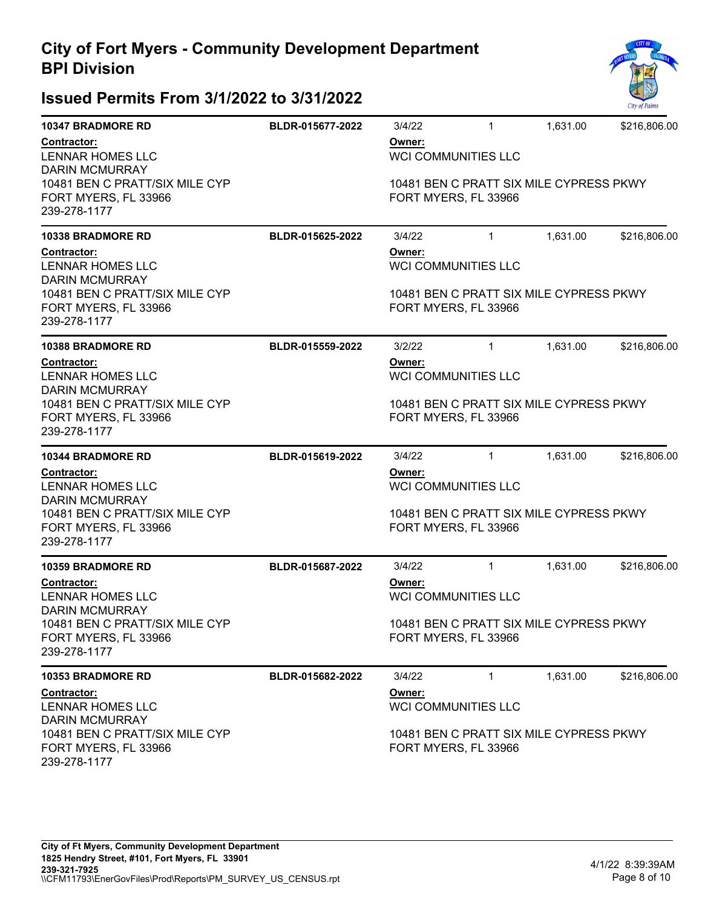

| <b>10347 BRADMORE RD</b>                                               | BLDR-015677-2022 | 3/4/22                                                                                                  | $\mathbf{1}$                            | 1,631.00 | \$216,806.00 |  |  |
|------------------------------------------------------------------------|------------------|---------------------------------------------------------------------------------------------------------|-----------------------------------------|----------|--------------|--|--|
| Contractor:<br><b>LENNAR HOMES LLC</b><br><b>DARIN MCMURRAY</b>        |                  | Owner:<br><b>WCI COMMUNITIES LLC</b>                                                                    |                                         |          |              |  |  |
| 10481 BEN C PRATT/SIX MILE CYP<br>FORT MYERS, FL 33966<br>239-278-1177 |                  | FORT MYERS, FL 33966                                                                                    | 10481 BEN C PRATT SIX MILE CYPRESS PKWY |          |              |  |  |
| <b>10338 BRADMORE RD</b>                                               | BLDR-015625-2022 | 3/4/22                                                                                                  | $\mathbf{1}$                            | 1,631.00 | \$216,806.00 |  |  |
| Contractor:<br><b>LENNAR HOMES LLC</b><br><b>DARIN MCMURRAY</b>        |                  | Owner:                                                                                                  | <b>WCI COMMUNITIES LLC</b>              |          |              |  |  |
| 10481 BEN C PRATT/SIX MILE CYP<br>FORT MYERS, FL 33966<br>239-278-1177 |                  | 10481 BEN C PRATT SIX MILE CYPRESS PKWY<br>FORT MYERS, FL 33966                                         |                                         |          |              |  |  |
| <b>10388 BRADMORE RD</b>                                               | BLDR-015559-2022 | 3/2/22                                                                                                  | $\mathbf{1}$                            | 1,631.00 | \$216,806.00 |  |  |
| Contractor:<br><b>LENNAR HOMES LLC</b><br><b>DARIN MCMURRAY</b>        |                  | Owner:                                                                                                  | <b>WCI COMMUNITIES LLC</b>              |          |              |  |  |
| 10481 BEN C PRATT/SIX MILE CYP<br>FORT MYERS, FL 33966<br>239-278-1177 |                  | 10481 BEN C PRATT SIX MILE CYPRESS PKWY<br>FORT MYERS, FL 33966                                         |                                         |          |              |  |  |
| <b>10344 BRADMORE RD</b>                                               | BLDR-015619-2022 | 3/4/22                                                                                                  | $\mathbf{1}$                            | 1,631.00 | \$216,806.00 |  |  |
| Contractor:<br><b>LENNAR HOMES LLC</b><br><b>DARIN MCMURRAY</b>        |                  | Owner:                                                                                                  | <b>WCI COMMUNITIES LLC</b>              |          |              |  |  |
| 10481 BEN C PRATT/SIX MILE CYP<br>FORT MYERS, FL 33966<br>239-278-1177 |                  | 10481 BEN C PRATT SIX MILE CYPRESS PKWY<br>FORT MYERS, FL 33966                                         |                                         |          |              |  |  |
| <b>10359 BRADMORE RD</b>                                               | BLDR-015687-2022 | 3/4/22                                                                                                  | $\mathbf{1}$                            | 1,631.00 | \$216,806.00 |  |  |
| <b>Contractor:</b><br>LENNAR HOMES LLC<br><b>DARIN MCMURRAY</b>        |                  | Owner:<br><b>WCI COMMUNITIES LLC</b>                                                                    |                                         |          |              |  |  |
| 10481 BEN C PRATT/SIX MILE CYP<br>FORT MYERS, FL 33966<br>239-278-1177 |                  | 10481 BEN C PRATT SIX MILE CYPRESS PKWY<br>FORT MYERS, FL 33966                                         |                                         |          |              |  |  |
| <b>10353 BRADMORE RD</b>                                               | BLDR-015682-2022 | 3/4/22                                                                                                  | $\mathbf{1}$                            | 1,631.00 | \$216,806.00 |  |  |
| Contractor:<br><b>LENNAR HOMES LLC</b><br><b>DARIN MCMURRAY</b>        |                  | Owner:<br><b>WCI COMMUNITIES LLC</b><br>10481 BEN C PRATT SIX MILE CYPRESS PKWY<br>FORT MYERS, FL 33966 |                                         |          |              |  |  |
| 10481 BEN C PRATT/SIX MILE CYP<br>FORT MYERS, FL 33966<br>239-278-1177 |                  |                                                                                                         |                                         |          |              |  |  |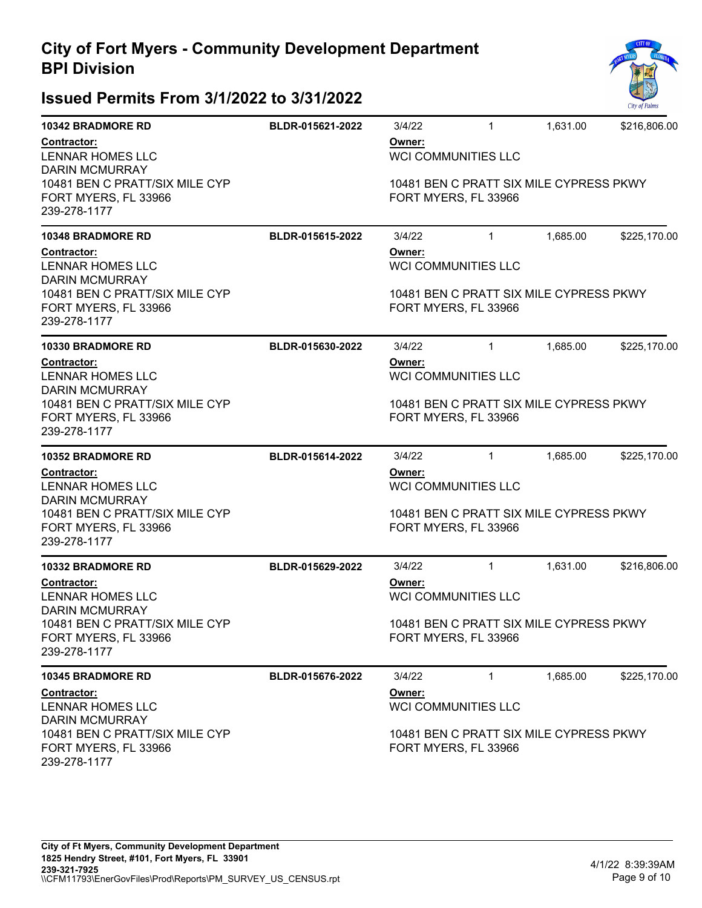

| <b>10342 BRADMORE RD</b>                                               | BLDR-015621-2022 | 3/4/22                                                          | $\mathbf{1}$               | 1,631.00 | \$216,806.00                            |  |  |
|------------------------------------------------------------------------|------------------|-----------------------------------------------------------------|----------------------------|----------|-----------------------------------------|--|--|
| <b>Contractor:</b><br><b>LENNAR HOMES LLC</b><br><b>DARIN MCMURRAY</b> |                  | Owner:<br><b>WCI COMMUNITIES LLC</b>                            |                            |          |                                         |  |  |
| 10481 BEN C PRATT/SIX MILE CYP<br>FORT MYERS, FL 33966<br>239-278-1177 |                  | 10481 BEN C PRATT SIX MILE CYPRESS PKWY<br>FORT MYERS, FL 33966 |                            |          |                                         |  |  |
| <b>10348 BRADMORE RD</b>                                               | BLDR-015615-2022 | 3/4/22                                                          | $\mathbf{1}$               | 1,685.00 | \$225,170.00                            |  |  |
| Contractor:<br><b>LENNAR HOMES LLC</b><br><b>DARIN MCMURRAY</b>        |                  | Owner:                                                          | <b>WCI COMMUNITIES LLC</b> |          |                                         |  |  |
| 10481 BEN C PRATT/SIX MILE CYP<br>FORT MYERS, FL 33966<br>239-278-1177 |                  |                                                                 | FORT MYERS, FL 33966       |          | 10481 BEN C PRATT SIX MILE CYPRESS PKWY |  |  |
| <b>10330 BRADMORE RD</b>                                               | BLDR-015630-2022 | 3/4/22                                                          | $\mathbf{1}$               | 1,685.00 | \$225,170.00                            |  |  |
| Contractor:<br><b>LENNAR HOMES LLC</b><br><b>DARIN MCMURRAY</b>        |                  | Owner:<br><b>WCI COMMUNITIES LLC</b>                            |                            |          |                                         |  |  |
| 10481 BEN C PRATT/SIX MILE CYP<br>FORT MYERS, FL 33966<br>239-278-1177 |                  | 10481 BEN C PRATT SIX MILE CYPRESS PKWY<br>FORT MYERS, FL 33966 |                            |          |                                         |  |  |
| <b>10352 BRADMORE RD</b>                                               | BLDR-015614-2022 | 3/4/22                                                          | $\mathbf{1}$               | 1,685.00 | \$225,170.00                            |  |  |
| Contractor:<br><b>LENNAR HOMES LLC</b><br><b>DARIN MCMURRAY</b>        |                  | Owner:                                                          | WCI COMMUNITIES LLC        |          |                                         |  |  |
| 10481 BEN C PRATT/SIX MILE CYP<br>FORT MYERS, FL 33966<br>239-278-1177 |                  | 10481 BEN C PRATT SIX MILE CYPRESS PKWY<br>FORT MYERS, FL 33966 |                            |          |                                         |  |  |
| <b>10332 BRADMORE RD</b>                                               | BLDR-015629-2022 | 3/4/22                                                          | $\mathbf{1}$               | 1,631.00 | \$216,806.00                            |  |  |
| <b>Contractor:</b><br><b>LENNAR HOMES LLC</b><br><b>DARIN MCMURRAY</b> |                  | Owner:<br><b>WCI COMMUNITIES LLC</b>                            |                            |          |                                         |  |  |
| 10481 BEN C PRATT/SIX MILE CYP<br>FORT MYERS, FL 33966<br>239-278-1177 |                  | 10481 BEN C PRATT SIX MILE CYPRESS PKWY<br>FORT MYERS, FL 33966 |                            |          |                                         |  |  |
| 10345 BRADMORE RD                                                      | BLDR-015676-2022 | 3/4/22                                                          | 1                          | 1,685.00 | \$225,170.00                            |  |  |
| <b>Contractor:</b><br><b>LENNAR HOMES LLC</b><br><b>DARIN MCMURRAY</b> |                  | Owner:                                                          | <b>WCI COMMUNITIES LLC</b> |          |                                         |  |  |
| 10481 BEN C PRATT/SIX MILE CYP<br>FORT MYERS, FL 33966<br>239-278-1177 |                  | 10481 BEN C PRATT SIX MILE CYPRESS PKWY<br>FORT MYERS, FL 33966 |                            |          |                                         |  |  |